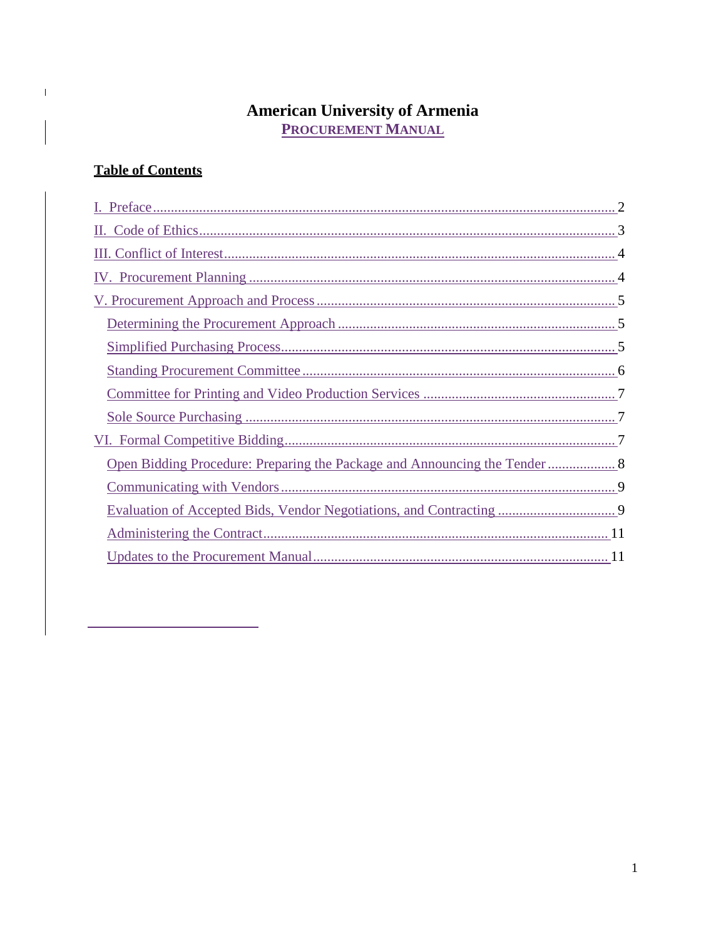# **American University of Armenia<br>PROCUREMENT MANUAL**

# **Table of Contents**

 $\mathbf{I}$ 

| Open Bidding Procedure: Preparing the Package and Announcing the Tender 8 |
|---------------------------------------------------------------------------|
|                                                                           |
|                                                                           |
|                                                                           |
|                                                                           |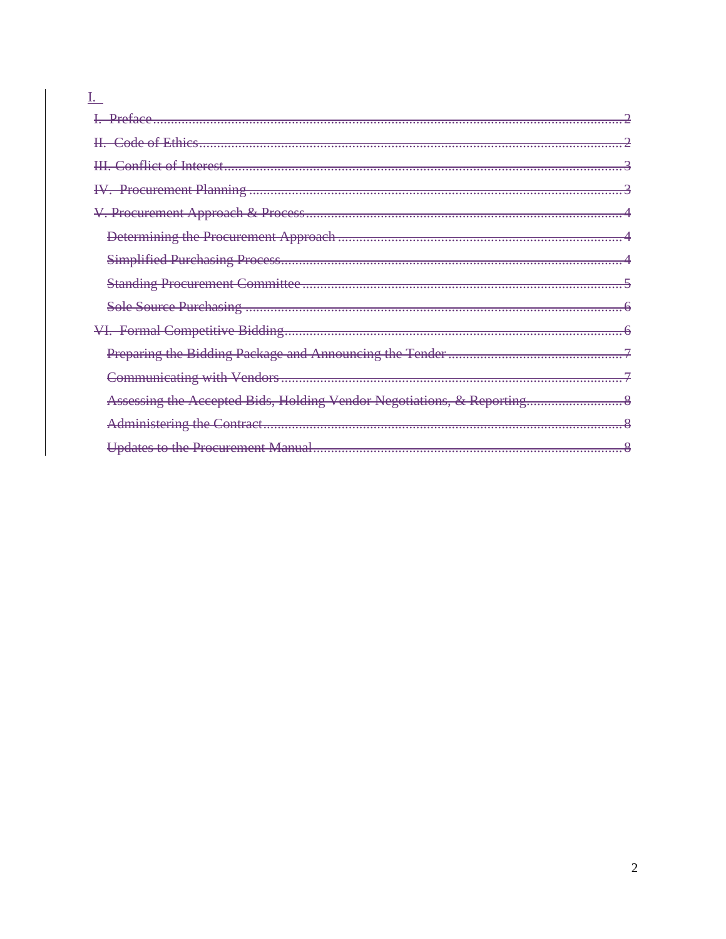<span id="page-1-0"></span>

| Assessing the Accepted Bids, Holding Vendor Negotiations, & Reporting |
|-----------------------------------------------------------------------|
|                                                                       |
|                                                                       |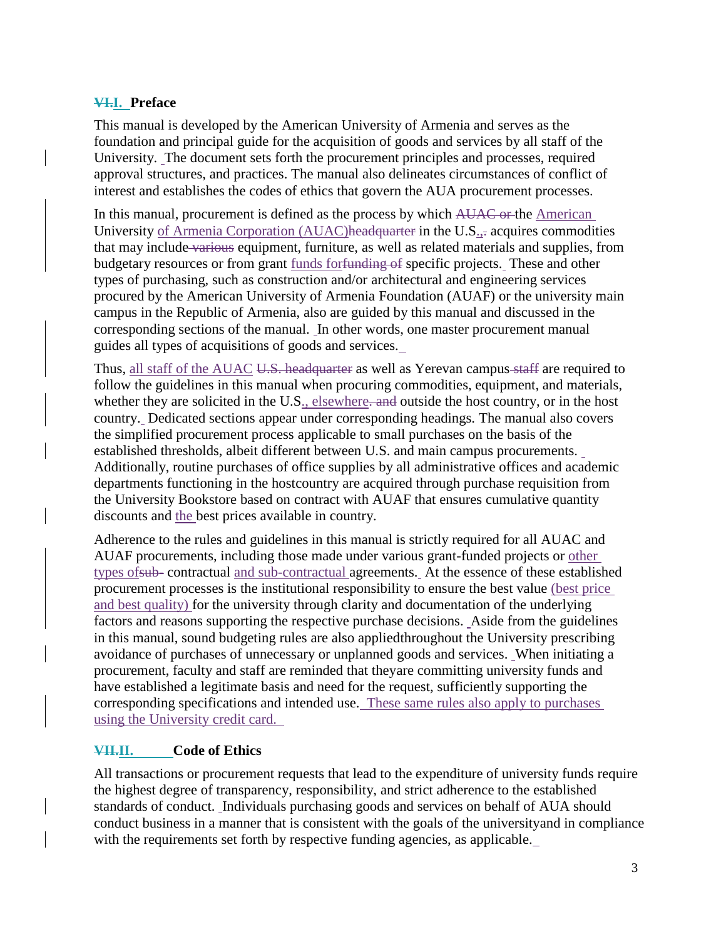# **VI.I. Preface**

This manual is developed by the American University of Armenia and serves as the foundation and principal guide for the acquisition of goods and services by all staff of the University. The document sets forth the procurement principles and processes, required approval structures, and practices. The manual also delineates circumstances of conflict of interest and establishes the codes of ethics that govern the AUA procurement processes.

In this manual, procurement is defined as the process by which AUAC or the American University of Armenia Corporation (AUAC)headquarter in the U.S<sub>.</sub>, acquires commodities that may include various equipment, furniture, as well as related materials and supplies, from budgetary resources or from grant funds for funding of specific projects. These and other types of purchasing, such as construction and/or architectural and engineering services procured by the American University of Armenia Foundation (AUAF) or the university main campus in the Republic of Armenia, also are guided by this manual and discussed in the corresponding sections of the manual. In other words, one master procurement manual guides all types of acquisitions of goods and services.

Thus, all staff of the AUAC U.S. headquarter as well as Yerevan campus staff are required to follow the guidelines in this manual when procuring commodities, equipment, and materials, whether they are solicited in the U.S., elsewhere, and outside the host country, or in the host country. Dedicated sections appear under corresponding headings. The manual also covers the simplified procurement process applicable to small purchases on the basis of the established thresholds, albeit different between U.S. and main campus procurements. Additionally, routine purchases of office supplies by all administrative offices and academic departments functioning in the hostcountry are acquired through purchase requisition from the University Bookstore based on contract with AUAF that ensures cumulative quantity discounts and the best prices available in country.

Adherence to the rules and guidelines in this manual is strictly required for all AUAC and AUAF procurements, including those made under various grant-funded projects or other types ofsub- contractual and sub-contractual agreements. At the essence of these established procurement processes is the institutional responsibility to ensure the best value (best price and best quality) for the university through clarity and documentation of the underlying factors and reasons supporting the respective purchase decisions. Aside from the guidelines in this manual, sound budgeting rules are also appliedthroughout the University prescribing avoidance of purchases of unnecessary or unplanned goods and services. When initiating a procurement, faculty and staff are reminded that theyare committing university funds and have established a legitimate basis and need for the request, sufficiently supporting the corresponding specifications and intended use. These same rules also apply to purchases using the University credit card.

# <span id="page-2-0"></span>**VII.II. Code of Ethics**

All transactions or procurement requests that lead to the expenditure of university funds require the highest degree of transparency, responsibility, and strict adherence to the established standards of conduct. Individuals purchasing goods and services on behalf of AUA should conduct business in a manner that is consistent with the goals of the universityand in compliance with the requirements set forth by respective funding agencies, as applicable.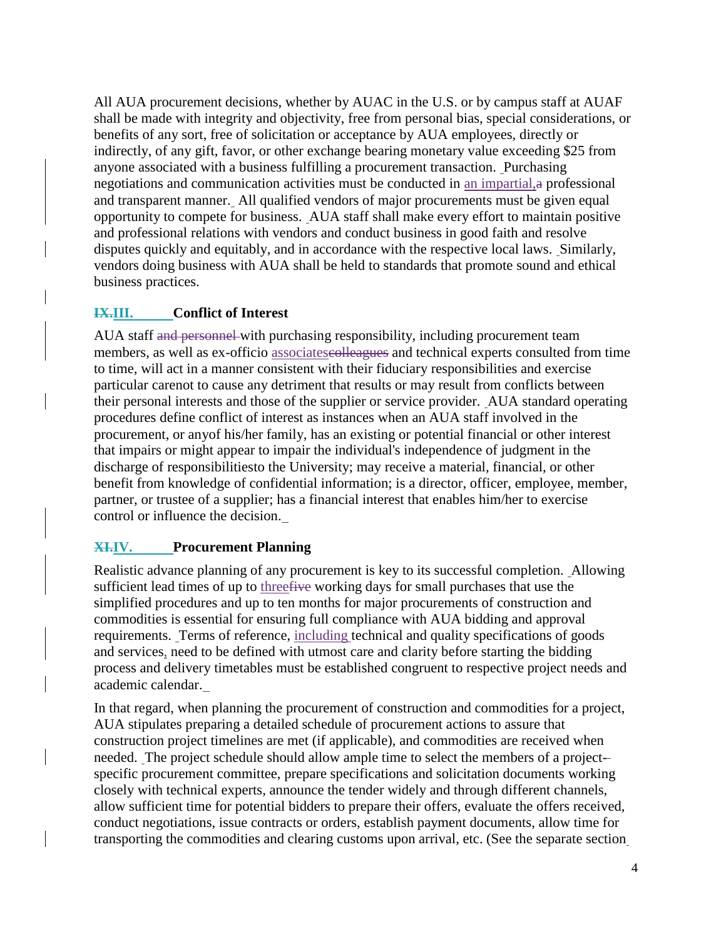All AUA procurement decisions, whether by AUAC in the U.S. or by campus staff at AUAF shall be made with integrity and objectivity, free from personal bias, special considerations, or benefits of any sort, free of solicitation or acceptance by AUA employees, directly or indirectly, of any gift, favor, or other exchange bearing monetary value exceeding \$25 from anyone associated with a business fulfilling a procurement transaction. Purchasing negotiations and communication activities must be conducted in an impartial,a professional and transparent manner. All qualified vendors of major procurements must be given equal opportunity to compete for business. AUA staff shall make every effort to maintain positive and professional relations with vendors and conduct business in good faith and resolve disputes quickly and equitably, and in accordance with the respective local laws. Similarly, vendors doing business with AUA shall be held to standards that promote sound and ethical business practices.

# <span id="page-3-0"></span>**IX.III. Conflict of Interest**

AUA staff and personnel with purchasing responsibility, including procurement team members, as well as ex-officio associateses and technical experts consulted from time to time, will act in a manner consistent with their fiduciary responsibilities and exercise particular carenot to cause any detriment that results or may result from conflicts between their personal interests and those of the supplier or service provider. AUA standard operating procedures define conflict of interest as instances when an AUA staff involved in the procurement, or anyof his/her family, has an existing or potential financial or other interest that impairs or might appear to impair the individual's independence of judgment in the discharge of responsibilitiesto the University; may receive a material, financial, or other benefit from knowledge of confidential information; is a director, officer, employee, member, partner, or trustee of a supplier; has a financial interest that enables him/her to exercise control or influence the decision.

# <span id="page-3-1"></span>**XI.IV. Procurement Planning**

Realistic advance planning of any procurement is key to its successful completion. Allowing sufficient lead times of up to threefive working days for small purchases that use the simplified procedures and up to ten months for major procurements of construction and commodities is essential for ensuring full compliance with AUA bidding and approval requirements. Terms of reference, including technical and quality specifications of goods and services, need to be defined with utmost care and clarity before starting the bidding process and delivery timetables must be established congruent to respective project needs and academic calendar.

In that regard, when planning the procurement of construction and commodities for a project, AUA stipulates preparing a detailed schedule of procurement actions to assure that construction project timelines are met (if applicable), and commodities are received when needed. The project schedule should allow ample time to select the members of a projectspecific procurement committee, prepare specifications and solicitation documents working closely with technical experts, announce the tender widely and through different channels, allow sufficient time for potential bidders to prepare their offers, evaluate the offers received, conduct negotiations, issue contracts or orders, establish payment documents, allow time for transporting the commodities and clearing customs upon arrival, etc. (See the separate section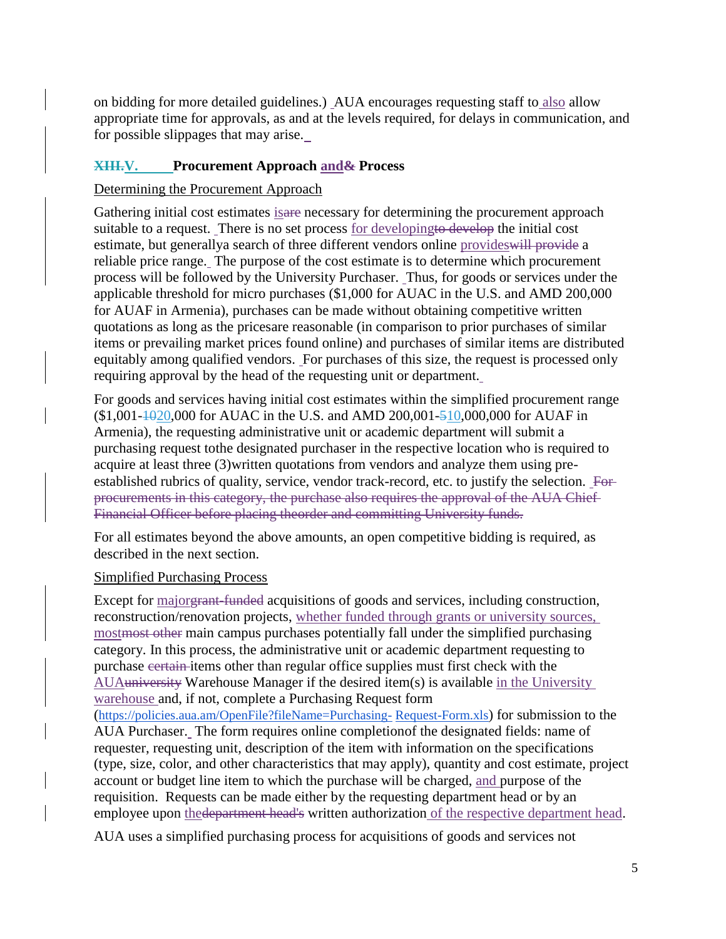on bidding for more detailed guidelines.) AUA encourages requesting staff to also allow appropriate time for approvals, as and at the levels required, for delays in communication, and for possible slippages that may arise.

# <span id="page-4-0"></span>**XIII.V. Procurement Approach and& Process**

## <span id="page-4-1"></span>Determining the Procurement Approach

Gathering initial cost estimates isare necessary for determining the procurement approach suitable to a request. There is no set process for developingto develop the initial cost estimate, but generallya search of three different vendors online provideswill provide a reliable price range. The purpose of the cost estimate is to determine which procurement process will be followed by the University Purchaser. Thus, for goods or services under the applicable threshold for micro purchases (\$1,000 for AUAC in the U.S. and AMD 200,000 for AUAF in Armenia), purchases can be made without obtaining competitive written quotations as long as the pricesare reasonable (in comparison to prior purchases of similar items or prevailing market prices found online) and purchases of similar items are distributed equitably among qualified vendors. For purchases of this size, the request is processed only requiring approval by the head of the requesting unit or department.

For goods and services having initial cost estimates within the simplified procurement range  $($1,001-1020,000$  for AUAC in the U.S. and AMD 200,001-510,000,000 for AUAF in Armenia), the requesting administrative unit or academic department will submit a purchasing request tothe designated purchaser in the respective location who is required to acquire at least three (3)written quotations from vendors and analyze them using preestablished rubrics of quality, service, vendor track-record, etc. to justify the selection. For procurements in this category, the purchase also requires the approval of the AUA Chief Financial Officer before placing theorder and committing University funds.

For all estimates beyond the above amounts, an open competitive bidding is required, as described in the next section.

#### <span id="page-4-2"></span>Simplified Purchasing Process

Except for major<del>grant-funded</del> acquisitions of goods and services, including construction, reconstruction/renovation projects, whether funded through grants or university sources, mostmost other main campus purchases potentially fall under the simplified purchasing category. In this process, the administrative unit or academic department requesting to purchase certain items other than regular office supplies must first check with the AUAuniversity Warehouse Manager if the desired item(s) is available in the University warehouse and, if not, complete a Purchasing Request form (https://policies.aua.am/OpenFile?fileName=Purchasing- Request-Form.xls) for submission to the AUA Purchaser. The form requires online completionof the designated fields: name of

requester, requesting unit, description of the item with information on the specifications (type, size, color, and other characteristics that may apply), quantity and cost estimate, project account or budget line item to which the purchase will be charged, and purpose of the requisition. Requests can be made either by the requesting department head or by an employee upon the department head's written authorization of the respective department head.

AUA uses a simplified purchasing process for acquisitions of goods and services not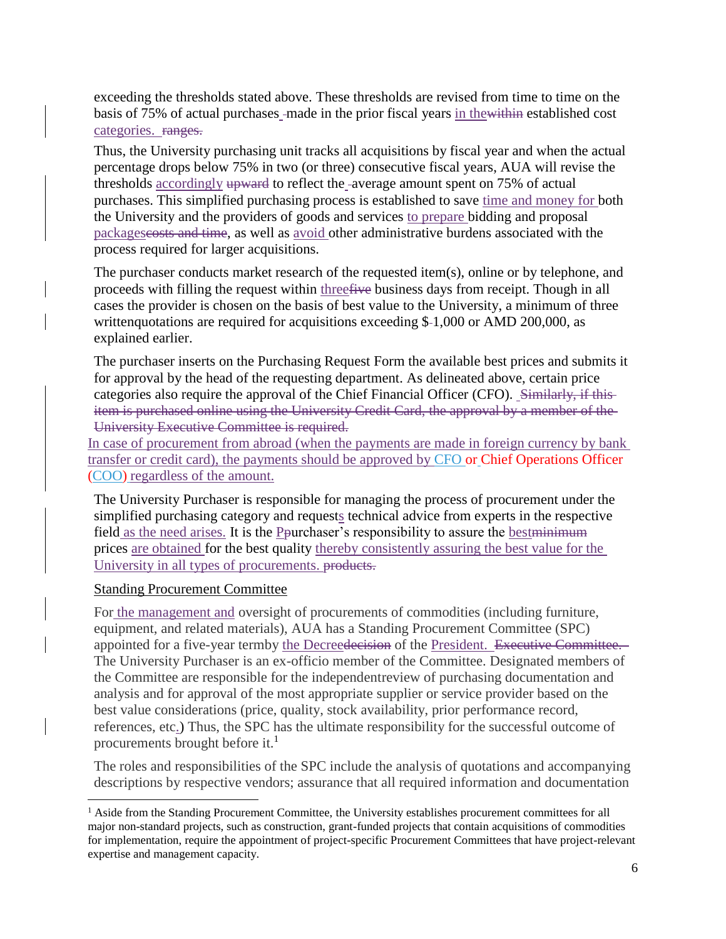exceeding the thresholds stated above. These thresholds are revised from time to time on the basis of 75% of actual purchases -made in the prior fiscal years in the within established cost categories. ranges.

Thus, the University purchasing unit tracks all acquisitions by fiscal year and when the actual percentage drops below 75% in two (or three) consecutive fiscal years, AUA will revise the thresholds accordingly upward to reflect the -average amount spent on 75% of actual purchases. This simplified purchasing process is established to save time and money for both the University and the providers of goods and services to prepare bidding and proposal packagescosts and time, as well as avoid other administrative burdens associated with the process required for larger acquisitions.

The purchaser conducts market research of the requested item(s), online or by telephone, and proceeds with filling the request within threefive business days from receipt. Though in all cases the provider is chosen on the basis of best value to the University, a minimum of three writtenquotations are required for acquisitions exceeding  $$-1,000$  or AMD 200,000, as explained earlier.

The purchaser inserts on the Purchasing Request Form the available best prices and submits it for approval by the head of the requesting department. As delineated above, certain price categories also require the approval of the Chief Financial Officer (CFO). Similarly, if this item is purchased online using the University Credit Card, the approval by a member of the University Executive Committee is required.

In case of procurement from abroad (when the payments are made in foreign currency by bank transfer or credit card), the payments should be approved by CFO or Chief Operations Officer (COO) regardless of the amount.

The University Purchaser is responsible for managing the process of procurement under the simplified purchasing category and requests technical advice from experts in the respective field as the need arises. It is the Pourchaser's responsibility to assure the bestminimum prices are obtained for the best quality thereby consistently assuring the best value for the University in all types of procurements. products.

#### <span id="page-5-0"></span>Standing Procurement Committee

l

For the management and oversight of procurements of commodities (including furniture, equipment, and related materials), AUA has a Standing Procurement Committee (SPC) appointed for a five-year termby the Decreedecision of the President. Executive Committee. The University Purchaser is an ex-officio member of the Committee. Designated members of the Committee are responsible for the independentreview of purchasing documentation and analysis and for approval of the most appropriate supplier or service provider based on the best value considerations (price, quality, stock availability, prior performance record, references, etc.) Thus, the SPC has the ultimate responsibility for the successful outcome of procurements brought before it.<sup>1</sup>

The roles and responsibilities of the SPC include the analysis of quotations and accompanying descriptions by respective vendors; assurance that all required information and documentation

<sup>&</sup>lt;sup>1</sup> Aside from the Standing Procurement Committee, the University establishes procurement committees for all major non-standard projects, such as construction, grant-funded projects that contain acquisitions of commodities for implementation, require the appointment of project-specific Procurement Committees that have project-relevant expertise and management capacity.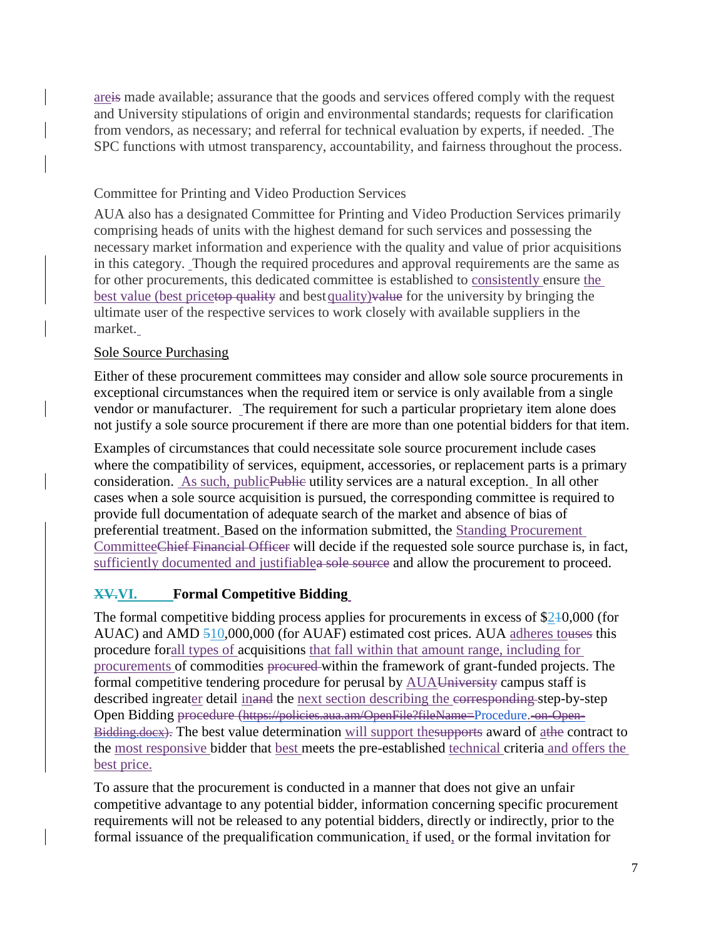areis made available; assurance that the goods and services offered comply with the request and University stipulations of origin and environmental standards; requests for clarification from vendors, as necessary; and referral for technical evaluation by experts, if needed. The SPC functions with utmost transparency, accountability, and fairness throughout the process.

# <span id="page-6-0"></span>Committee for Printing and Video Production Services

AUA also has a designated Committee for Printing and Video Production Services primarily comprising heads of units with the highest demand for such services and possessing the necessary market information and experience with the quality and value of prior acquisitions in this category. Though the required procedures and approval requirements are the same as for other procurements, this dedicated committee is established to consistently ensure the best value (best pricetop quality and best quality) value for the university by bringing the ultimate user of the respective services to work closely with available suppliers in the market.

## <span id="page-6-1"></span>Sole Source Purchasing

Either of these procurement committees may consider and allow sole source procurements in exceptional circumstances when the required item or service is only available from a single vendor or manufacturer. The requirement for such a particular proprietary item alone does not justify a sole source procurement if there are more than one potential bidders for that item.

Examples of circumstances that could necessitate sole source procurement include cases where the compatibility of services, equipment, accessories, or replacement parts is a primary consideration. As such, public Public utility services are a natural exception. In all other cases when a sole source acquisition is pursued, the corresponding committee is required to provide full documentation of adequate search of the market and absence of bias of preferential treatment. Based on the information submitted, the Standing Procurement CommitteeChief Financial Officer will decide if the requested sole source purchase is, in fact, sufficiently documented and justifiablea sole source and allow the procurement to proceed.

# <span id="page-6-2"></span>**XV.VI. Formal Competitive Bidding**

The formal competitive bidding process applies for procurements in excess of \$210,000 (for AUAC) and AMD 510,000,000 (for AUAF) estimated cost prices. AUA adheres touses this procedure forall types of acquisitions that fall within that amount range, including for procurements of commodities procured within the framework of grant-funded projects. The formal competitive tendering procedure for perusal by AUAUniversity campus staff is described ingreater detail inand the next section describing the corresponding step-by-step Open Bidding procedure (https://policies.aua.am/OpenFile?fileName=Procedure.-on-Open-Bidding.docx). The best value determination will support thesupports award of athe contract to the most responsive bidder that best meets the pre-established technical criteria and offers the best price.

To assure that the procurement is conducted in a manner that does not give an unfair competitive advantage to any potential bidder, information concerning specific procurement requirements will not be released to any potential bidders, directly or indirectly, prior to the formal issuance of the prequalification communication, if used, or the formal invitation for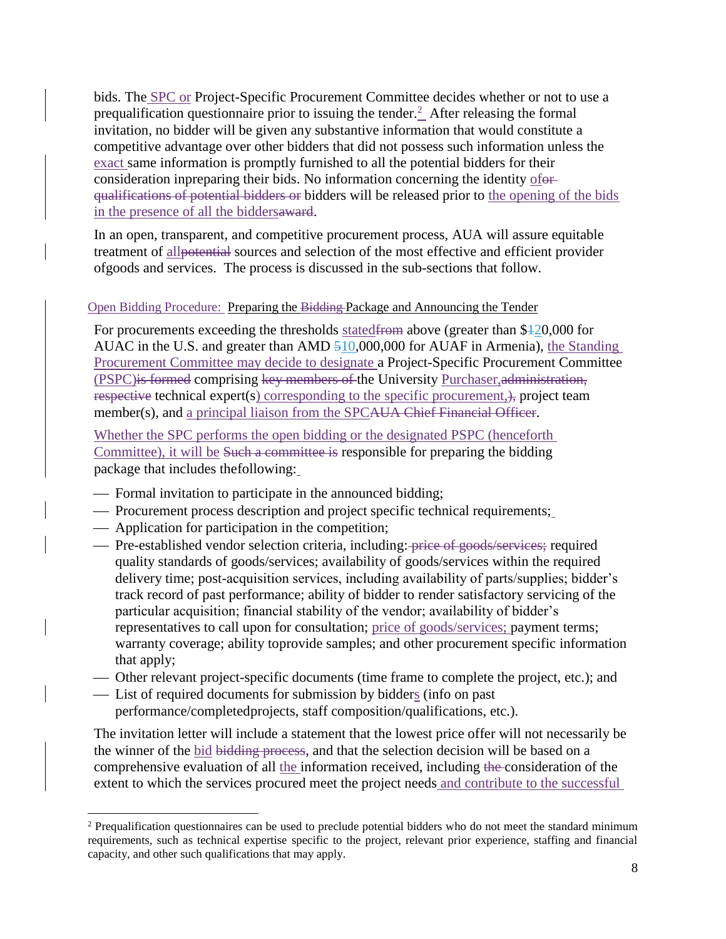bids. The **SPC** or Project-Specific Procurement Committee decides whether or not to use a prequalification questionnaire prior to issuing the tender. $\frac{2}{3}$  After releasing the formal invitation, no bidder will be given any substantive information that would constitute a competitive advantage over other bidders that did not possess such information unless the exact same information is promptly furnished to all the potential bidders for their consideration inpreparing their bids. No information concerning the identity ofor qualifications of potential bidders or bidders will be released prior to the opening of the bids in the presence of all the biddersaward.

In an open, transparent, and competitive procurement process, AUA will assure equitable treatment of allpotential sources and selection of the most effective and efficient provider ofgoods and services. The process is discussed in the sub-sections that follow.

#### <span id="page-7-0"></span>Open Bidding Procedure: Preparing the Bidding Package and Announcing the Tender

For procurements exceeding the thresholds stated<del>from</del> above (greater than \$420,000 for AUAC in the U.S. and greater than AMD 510,000,000 for AUAF in Armenia), the Standing Procurement Committee may decide to designate a Project-Specific Procurement Committee (PSPC)<del>is formed</del> comprising key members of the University Purchaser, administration, respective technical expert(s) corresponding to the specific procurement, project team member(s), and a principal liaison from the SPCAUA Chief Financial Officer.

Whether the SPC performs the open bidding or the designated PSPC (henceforth Committee), it will be Such a committee is responsible for preparing the bidding package that includes thefollowing:

- Formal invitation to participate in the announced bidding;
- Procurement process description and project specific technical requirements;
- Application for participation in the competition;

l

- Pre-established vendor selection criteria, including: price of goods/services; required quality standards of goods/services; availability of goods/services within the required delivery time; post-acquisition services, including availability of parts/supplies; bidder's track record of past performance; ability of bidder to render satisfactory servicing of the particular acquisition; financial stability of the vendor; availability of bidder's representatives to call upon for consultation; price of goods/services; payment terms; warranty coverage; ability toprovide samples; and other procurement specific information that apply;
- Other relevant project-specific documents (time frame to complete the project, etc.); and
- List of required documents for submission by bidders (info on past performance/completedprojects, staff composition/qualifications, etc.).

The invitation letter will include a statement that the lowest price offer will not necessarily be the winner of the bid bidding process, and that the selection decision will be based on a comprehensive evaluation of all the information received, including the consideration of the extent to which the services procured meet the project needs and contribute to the successful

<sup>&</sup>lt;sup>2</sup> Prequalification questionnaires can be used to preclude potential bidders who do not meet the standard minimum requirements, such as technical expertise specific to the project, relevant prior experience, staffing and financial capacity, and other such qualifications that may apply.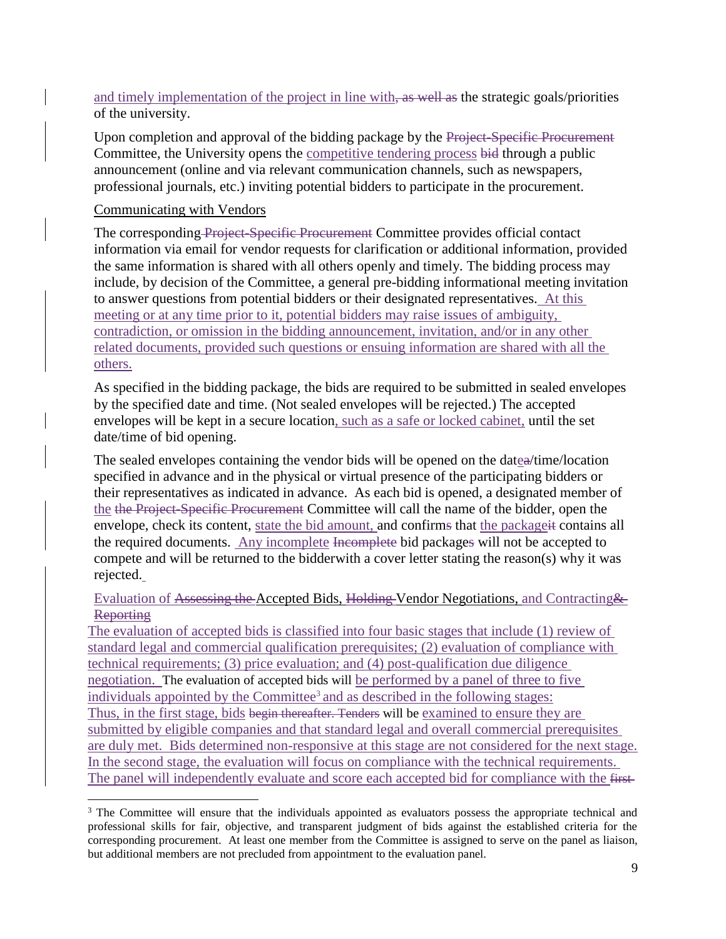and timely implementation of the project in line with, as well as the strategic goals/priorities of the university.

Upon completion and approval of the bidding package by the Project-Specific Procurement Committee, the University opens the competitive tendering process bid through a public announcement (online and via relevant communication channels, such as newspapers, professional journals, etc.) inviting potential bidders to participate in the procurement.

#### <span id="page-8-0"></span>Communicating with Vendors

l

The corresponding Project-Specific Procurement Committee provides official contact information via email for vendor requests for clarification or additional information, provided the same information is shared with all others openly and timely. The bidding process may include, by decision of the Committee, a general pre-bidding informational meeting invitation to answer questions from potential bidders or their designated representatives. At this meeting or at any time prior to it, potential bidders may raise issues of ambiguity, contradiction, or omission in the bidding announcement, invitation, and/or in any other related documents, provided such questions or ensuing information are shared with all the others.

As specified in the bidding package, the bids are required to be submitted in sealed envelopes by the specified date and time. (Not sealed envelopes will be rejected.) The accepted envelopes will be kept in a secure location, such as a safe or locked cabinet, until the set date/time of bid opening.

The sealed envelopes containing the vendor bids will be opened on the datea/time/location specified in advance and in the physical or virtual presence of the participating bidders or their representatives as indicated in advance. As each bid is opened, a designated member of the the Project-Specific Procurement Committee will call the name of the bidder, open the envelope, check its content, state the bid amount, and confirms that the packageit contains all the required documents. Any incomplete Incomplete bid packages will not be accepted to compete and will be returned to the bidderwith a cover letter stating the reason(s) why it was rejected.

## <span id="page-8-1"></span>Evaluation of Assessing the Accepted Bids, Holding Vendor Negotiations, and Contracting & **Reporting**

The evaluation of accepted bids is classified into four basic stages that include (1) review of standard legal and commercial qualification prerequisites; (2) evaluation of compliance with technical requirements; (3) price evaluation; and (4) post-qualification due diligence negotiation. The evaluation of accepted bids will be performed by a panel of three to five individuals appointed by the Committee<sup>3</sup> and as described in the following stages: Thus, in the first stage, bids begin thereafter. Tenders will be examined to ensure they are submitted by eligible companies and that standard legal and overall commercial prerequisites are duly met. Bids determined non-responsive at this stage are not considered for the next stage. In the second stage, the evaluation will focus on compliance with the technical requirements. The panel will independently evaluate and score each accepted bid for compliance with the first-

<sup>&</sup>lt;sup>3</sup> The Committee will ensure that the individuals appointed as evaluators possess the appropriate technical and professional skills for fair, objective, and transparent judgment of bids against the established criteria for the corresponding procurement. At least one member from the Committee is assigned to serve on the panel as liaison, but additional members are not precluded from appointment to the evaluation panel.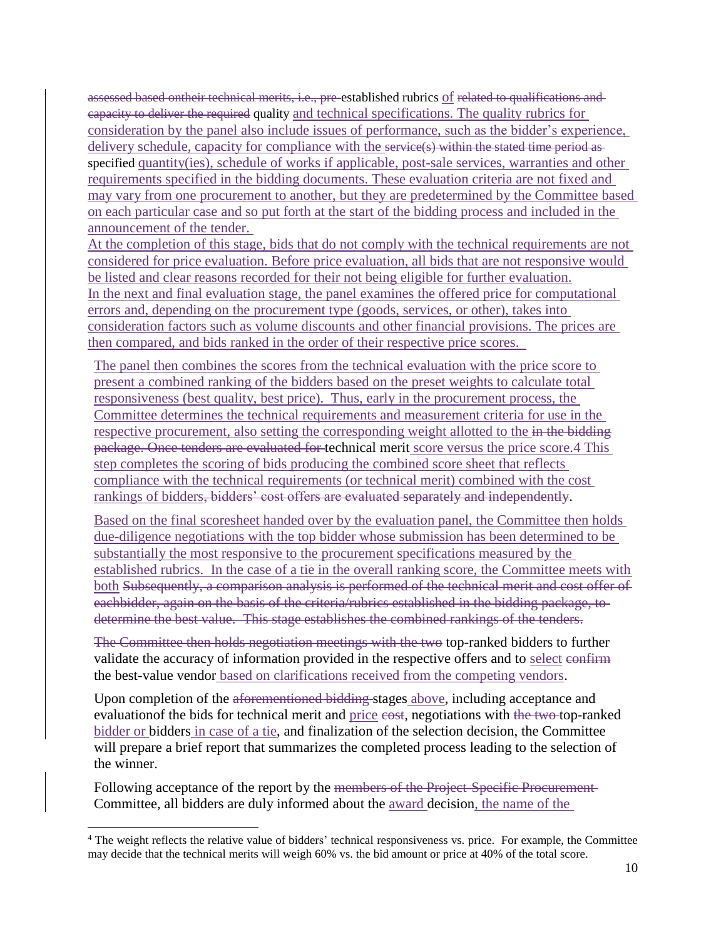assessed based ontheir technical merits, i.e., pre-established rubrics of related to qualifications and capacity to deliver the required quality and technical specifications. The quality rubrics for consideration by the panel also include issues of performance, such as the bidder's experience, delivery schedule, capacity for compliance with the service(s) within the stated time period asspecified quantity(ies), schedule of works if applicable, post-sale services, warranties and other requirements specified in the [bidding documents.](https://www.procurementclassroom.com/definition-of-terms/) These evaluation criteria are not fixed and may vary from one procurement to another, but they are predetermined by the Committee based on each particular case and so put forth at the start of the bidding process and included in the announcement of the tender.

At the completion of this stage, bids that do not comply with the technical requirements are not considered for price evaluation. Before price evaluation, all bids that are not responsive would be listed and clear reasons recorded for their not being eligible for further evaluation. In the next and final evaluation stage, the panel examines the offered price for computational errors and, depending on the procurement type (goods, services, or other), takes into consideration factors such as volume discounts and other financial provisions. The prices are then compared, and bids ranked in the order of their respective price scores.

The panel then combines the scores from the technical evaluation with the price score to present a combined ranking of the bidders based on the preset weights to calculate total responsiveness (best quality, best price). Thus, early in the procurement process, the Committee determines the technical requirements and measurement criteria for use in the respective procurement, also setting the corresponding weight allotted to the in the bidding package. Once tenders are evaluated for technical merit score versus the price score.4 This step completes the scoring of bids producing the combined score sheet that reflects compliance with the technical requirements (or technical merit) combined with the cost rankings of bidders, bidders' cost offers are evaluated separately and independently.

Based on the final scoresheet handed over by the evaluation panel, the Committee then holds due-diligence negotiations with the top bidder whose submission has been determined to be substantially the most responsive to the procurement specifications measured by the established rubrics. In the case of a tie in the overall ranking score, the Committee meets with both Subsequently, a comparison analysis is performed of the technical merit and cost offer of eachbidder, again on the basis of the criteria/rubrics established in the bidding package, to determine the best value. This stage establishes the combined rankings of the tenders.

The Committee then holds negotiation meetings with the two top-ranked bidders to further validate the accuracy of information provided in the respective offers and to select confirm the best-value vendor based on clarifications received from the competing vendors.

Upon completion of the aforementioned bidding stages above, including acceptance and evaluation of the bids for technical merit and price esst, negotiations with the two-top-ranked bidder or bidders in case of a tie, and finalization of the selection decision, the Committee will prepare a brief report that summarizes the completed process leading to the selection of the winner.

Following acceptance of the report by the members of the Project-Specific Procurement-Committee, all bidders are duly informed about the award decision, the name of the

l

<sup>4</sup> The weight reflects the relative value of bidders' technical responsiveness vs. price. For example, the Committee may decide that the technical merits will weigh 60% vs. the bid amount or price at 40% of the total score.